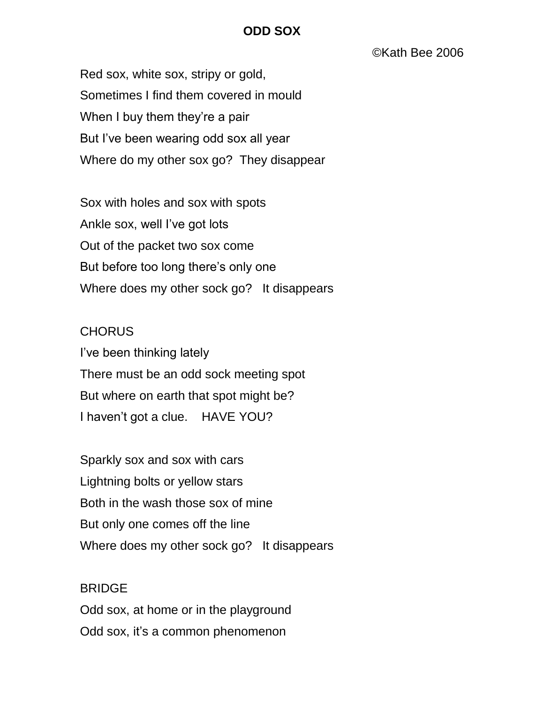## **ODD SOX**

©Kath Bee 2006

Red sox, white sox, stripy or gold, Sometimes I find them covered in mould When I buy them they're a pair But I've been wearing odd sox all year Where do my other sox go? They disappear

Sox with holes and sox with spots Ankle sox, well I've got lots Out of the packet two sox come But before too long there's only one Where does my other sock go? It disappears

## **CHORUS**

I've been thinking lately There must be an odd sock meeting spot But where on earth that spot might be? I haven't got a clue. HAVE YOU?

Sparkly sox and sox with cars Lightning bolts or yellow stars Both in the wash those sox of mine But only one comes off the line Where does my other sock go? It disappears

## BRIDGE

Odd sox, at home or in the playground Odd sox, it's a common phenomenon